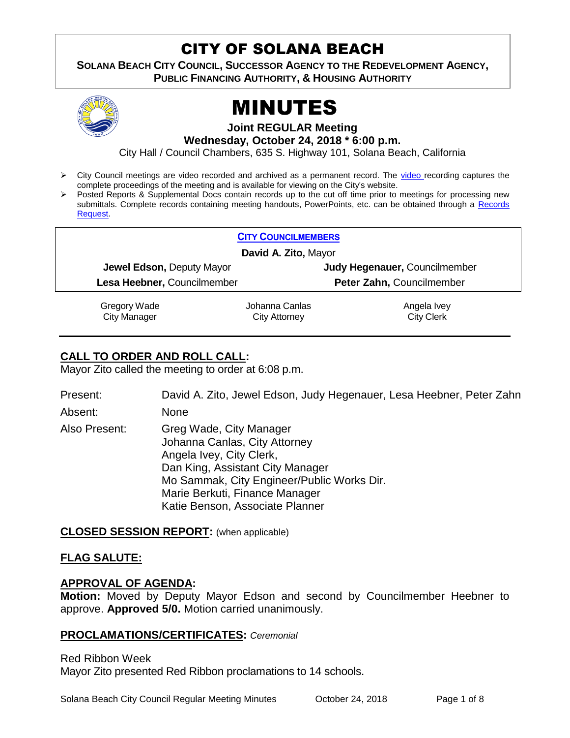# CITY OF SOLANA BEACH

**SOLANA BEACH CITY COUNCIL, SUCCESSOR AGENCY TO THE REDEVELOPMENT AGENCY, PUBLIC FINANCING AUTHORITY, & HOUSING AUTHORITY** 



# MINUTES

**Joint REGULAR Meeting**

**Wednesday, October 24, 2018 \* 6:00 p.m.**

City Hall / Council Chambers, 635 S. Highway 101, Solana Beach, California

- City Council meetings are video recorded and archived as a permanent record. The [video r](https://solanabeach.12milesout.com/#page=1)ecording captures the complete proceedings of the meeting and is available for viewing on the City's website.
- Posted Reports & Supplemental Docs contain records up to the cut off time prior to meetings for processing new submittals. Complete records containing meeting handouts, PowerPoints, etc. can be obtained through a Records [Request.](http://www.ci.solana-beach.ca.us/index.asp?SEC=F5D45D10-70CE-4291-A27C-7BD633FC6742&Type=B_BASIC)

| <b>CITY COUNCILMEMBERS</b>  |                      |                               |
|-----------------------------|----------------------|-------------------------------|
| David A. Zito, Mayor        |                      |                               |
| Jewel Edson, Deputy Mayor   |                      | Judy Hegenauer, Councilmember |
| Lesa Heebner, Councilmember |                      | Peter Zahn, Councilmember     |
| Gregory Wade                | Johanna Canlas       | Angela Ivey                   |
| <b>City Manager</b>         | <b>City Attorney</b> | <b>City Clerk</b>             |

# **CALL TO ORDER AND ROLL CALL:**

Mayor Zito called the meeting to order at 6:08 p.m.

Present: David A. Zito, Jewel Edson, Judy Hegenauer, Lesa Heebner, Peter Zahn Absent: None

Also Present: Greg Wade, City Manager Johanna Canlas, City Attorney Angela Ivey, City Clerk, Dan King, Assistant City Manager Mo Sammak, City Engineer/Public Works Dir. Marie Berkuti, Finance Manager Katie Benson, Associate Planner

#### **CLOSED SESSION REPORT:** (when applicable)

# **FLAG SALUTE:**

#### **APPROVAL OF AGENDA:**

**Motion:** Moved by Deputy Mayor Edson and second by Councilmember Heebner to approve. **Approved 5/0.** Motion carried unanimously.

#### **PROCLAMATIONS/CERTIFICATES:** *Ceremonial*

Red Ribbon Week Mayor Zito presented Red Ribbon proclamations to 14 schools.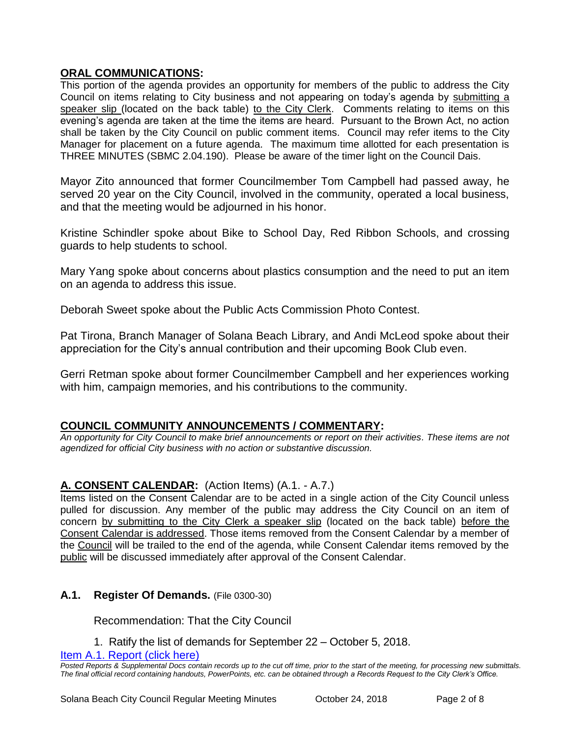#### **ORAL COMMUNICATIONS:**

This portion of the agenda provides an opportunity for members of the public to address the City Council on items relating to City business and not appearing on today's agenda by submitting a speaker slip (located on the back table) to the City Clerk. Comments relating to items on this evening's agenda are taken at the time the items are heard. Pursuant to the Brown Act, no action shall be taken by the City Council on public comment items. Council may refer items to the City Manager for placement on a future agenda. The maximum time allotted for each presentation is THREE MINUTES (SBMC 2.04.190). Please be aware of the timer light on the Council Dais.

Mayor Zito announced that former Councilmember Tom Campbell had passed away, he served 20 year on the City Council, involved in the community, operated a local business, and that the meeting would be adjourned in his honor.

Kristine Schindler spoke about Bike to School Day, Red Ribbon Schools, and crossing guards to help students to school.

Mary Yang spoke about concerns about plastics consumption and the need to put an item on an agenda to address this issue.

Deborah Sweet spoke about the Public Acts Commission Photo Contest.

Pat Tirona, Branch Manager of Solana Beach Library, and Andi McLeod spoke about their appreciation for the City's annual contribution and their upcoming Book Club even.

Gerri Retman spoke about former Councilmember Campbell and her experiences working with him, campaign memories, and his contributions to the community.

#### **COUNCIL COMMUNITY ANNOUNCEMENTS / COMMENTARY:**

*An opportunity for City Council to make brief announcements or report on their activities. These items are not agendized for official City business with no action or substantive discussion.* 

#### **A. CONSENT CALENDAR:** (Action Items) (A.1. - A.7.)

Items listed on the Consent Calendar are to be acted in a single action of the City Council unless pulled for discussion. Any member of the public may address the City Council on an item of concern by submitting to the City Clerk a speaker slip (located on the back table) before the Consent Calendar is addressed. Those items removed from the Consent Calendar by a member of the Council will be trailed to the end of the agenda, while Consent Calendar items removed by the public will be discussed immediately after approval of the Consent Calendar.

#### **A.1. Register Of Demands.** (File 0300-30)

Recommendation: That the City Council

1. Ratify the list of demands for September 22 – October 5, 2018.

Item A.1. Report (click here)

*Posted Reports & Supplemental Docs contain records up to the cut off time, prior to the start of the meeting, for processing new submittals. The final official record containing handouts, PowerPoints, etc. can be obtained through a Records Request to the City Clerk's Office.*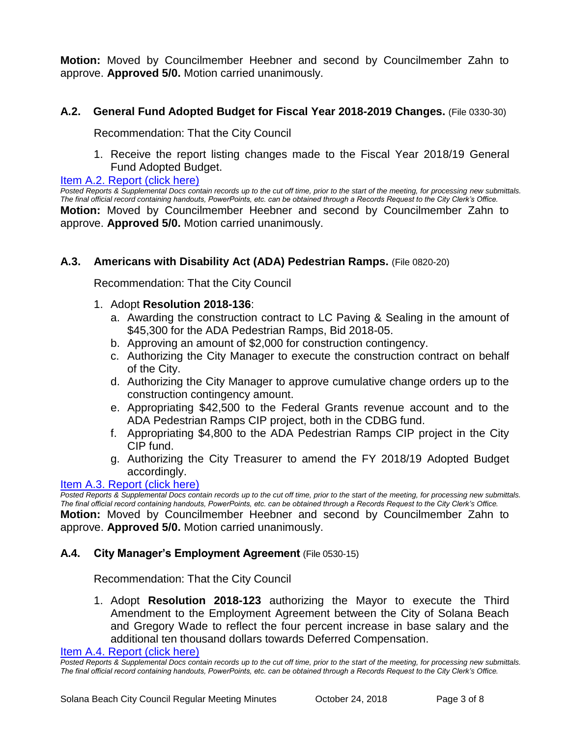**Motion:** Moved by Councilmember Heebner and second by Councilmember Zahn to approve. **Approved 5/0.** Motion carried unanimously.

# **A.2. General Fund Adopted Budget for Fiscal Year 2018-2019 Changes.** (File 0330-30)

Recommendation: That the City Council

1. Receive the report listing changes made to the Fiscal Year 2018/19 General Fund Adopted Budget.

#### [Item A.2. Report \(click here\)](https://solanabeach.govoffice3.com/vertical/Sites/%7B840804C2-F869-4904-9AE3-720581350CE7%7D/uploads/Item_A.2._Report_(click_here)_-_10-24-18.PDF)

*Posted Reports & Supplemental Docs contain records up to the cut off time, prior to the start of the meeting, for processing new submittals. The final official record containing handouts, PowerPoints, etc. can be obtained through a Records Request to the City Clerk's Office.* **Motion:** Moved by Councilmember Heebner and second by Councilmember Zahn to approve. **Approved 5/0.** Motion carried unanimously.

# **A.3. Americans with Disability Act (ADA) Pedestrian Ramps.** (File 0820-20)

Recommendation: That the City Council

- 1. Adopt **Resolution 2018-136**:
	- a. Awarding the construction contract to LC Paving & Sealing in the amount of \$45,300 for the ADA Pedestrian Ramps, Bid 2018-05.
	- b. Approving an amount of \$2,000 for construction contingency.
	- c. Authorizing the City Manager to execute the construction contract on behalf of the City.
	- d. Authorizing the City Manager to approve cumulative change orders up to the construction contingency amount.
	- e. Appropriating \$42,500 to the Federal Grants revenue account and to the ADA Pedestrian Ramps CIP project, both in the CDBG fund.
	- f. Appropriating \$4,800 to the ADA Pedestrian Ramps CIP project in the City CIP fund.
	- g. Authorizing the City Treasurer to amend the FY 2018/19 Adopted Budget accordingly.

#### [Item A.3. Report \(click here\)](https://solanabeach.govoffice3.com/vertical/Sites/%7B840804C2-F869-4904-9AE3-720581350CE7%7D/uploads/Item_A.3._Report_(click_here)_-_10-24-18.PDF)

*Posted Reports & Supplemental Docs contain records up to the cut off time, prior to the start of the meeting, for processing new submittals. The final official record containing handouts, PowerPoints, etc. can be obtained through a Records Request to the City Clerk's Office.* **Motion:** Moved by Councilmember Heebner and second by Councilmember Zahn to approve. **Approved 5/0.** Motion carried unanimously.

#### **A.4. City Manager's Employment Agreement** (File 0530-15)

Recommendation: That the City Council

1. Adopt **Resolution 2018-123** authorizing the Mayor to execute the Third Amendment to the Employment Agreement between the City of Solana Beach and Gregory Wade to reflect the four percent increase in base salary and the additional ten thousand dollars towards Deferred Compensation.

[Item A.4. Report \(click here\)](https://solanabeach.govoffice3.com/vertical/Sites/%7B840804C2-F869-4904-9AE3-720581350CE7%7D/uploads/Item_A.4._Report_(click_here)_-_10-24-18.PDF) 

*Posted Reports & Supplemental Docs contain records up to the cut off time, prior to the start of the meeting, for processing new submittals. The final official record containing handouts, PowerPoints, etc. can be obtained through a Records Request to the City Clerk's Office.*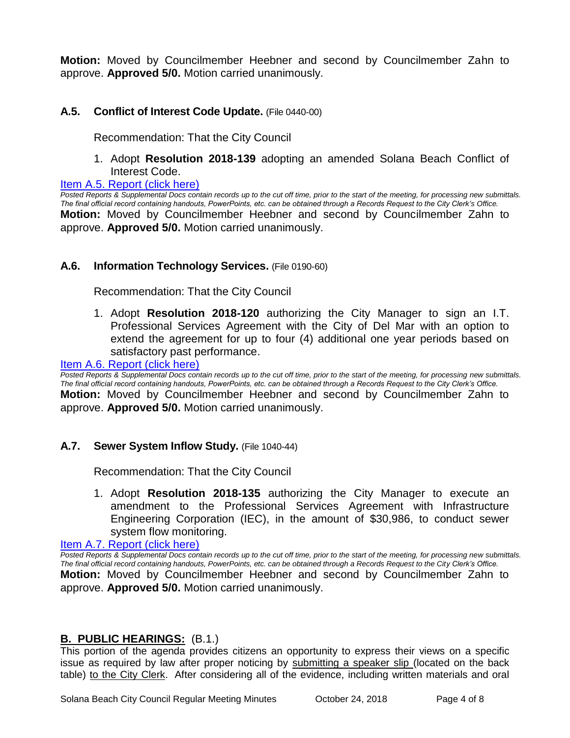**Motion:** Moved by Councilmember Heebner and second by Councilmember Zahn to approve. **Approved 5/0.** Motion carried unanimously.

# **A.5. Conflict of Interest Code Update.** (File 0440-00)

Recommendation: That the City Council

1. Adopt **Resolution 2018-139** adopting an amended Solana Beach Conflict of Interest Code.

[Item A.5. Report \(click here\)](https://solanabeach.govoffice3.com/vertical/Sites/%7B840804C2-F869-4904-9AE3-720581350CE7%7D/uploads/Item_A.5._Report_(click_here)_-_10-24-18.PDF) 

*Posted Reports & Supplemental Docs contain records up to the cut off time, prior to the start of the meeting, for processing new submittals. The final official record containing handouts, PowerPoints, etc. can be obtained through a Records Request to the City Clerk's Office.* **Motion:** Moved by Councilmember Heebner and second by Councilmember Zahn to approve. **Approved 5/0.** Motion carried unanimously.

#### **A.6. Information Technology Services.** (File 0190-60)

Recommendation: That the City Council

1. Adopt **Resolution 2018-120** authorizing the City Manager to sign an I.T. Professional Services Agreement with the City of Del Mar with an option to extend the agreement for up to four (4) additional one year periods based on satisfactory past performance.

#### Item A.6. Report (click here)

*Posted Reports & Supplemental Docs contain records up to the cut off time, prior to the start of the meeting, for processing new submittals. The final official record containing handouts, PowerPoints, etc. can be obtained through a Records Request to the City Clerk's Office.* **Motion:** Moved by Councilmember Heebner and second by Councilmember Zahn to approve. **Approved 5/0.** Motion carried unanimously.

#### **A.7. Sewer System Inflow Study.** (File 1040-44)

Recommendation: That the City Council

1. Adopt **Resolution 2018-135** authorizing the City Manager to execute an amendment to the Professional Services Agreement with Infrastructure Engineering Corporation (IEC), in the amount of \$30,986, to conduct sewer system flow monitoring.

[Item A.7. Report \(click here\)](https://solanabeach.govoffice3.com/vertical/Sites/%7B840804C2-F869-4904-9AE3-720581350CE7%7D/uploads/Item_A.7._Report_(click_here)_-_10-24-18.PDF) 

*Posted Reports & Supplemental Docs contain records up to the cut off time, prior to the start of the meeting, for processing new submittals. The final official record containing handouts, PowerPoints, etc. can be obtained through a Records Request to the City Clerk's Office.* **Motion:** Moved by Councilmember Heebner and second by Councilmember Zahn to approve. **Approved 5/0.** Motion carried unanimously.

#### **B. PUBLIC HEARINGS:** (B.1.)

This portion of the agenda provides citizens an opportunity to express their views on a specific issue as required by law after proper noticing by submitting a speaker slip (located on the back table) to the City Clerk. After considering all of the evidence, including written materials and oral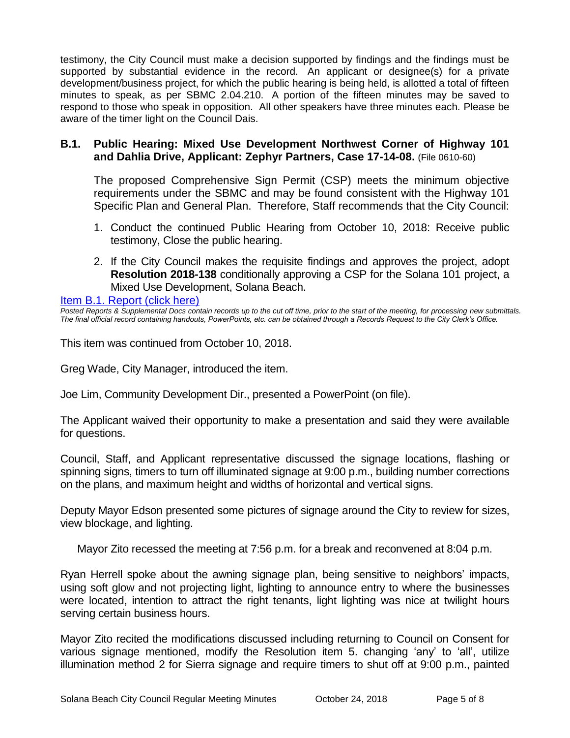testimony, the City Council must make a decision supported by findings and the findings must be supported by substantial evidence in the record. An applicant or designee(s) for a private development/business project, for which the public hearing is being held, is allotted a total of fifteen minutes to speak, as per SBMC 2.04.210. A portion of the fifteen minutes may be saved to respond to those who speak in opposition. All other speakers have three minutes each. Please be aware of the timer light on the Council Dais.

#### **B.1. Public Hearing: Mixed Use Development Northwest Corner of Highway 101 and Dahlia Drive, Applicant: Zephyr Partners, Case 17-14-08.** (File 0610-60)

The proposed Comprehensive Sign Permit (CSP) meets the minimum objective requirements under the SBMC and may be found consistent with the Highway 101 Specific Plan and General Plan. Therefore, Staff recommends that the City Council:

- 1. Conduct the continued Public Hearing from October 10, 2018: Receive public testimony, Close the public hearing.
- 2. If the City Council makes the requisite findings and approves the project, adopt **Resolution 2018-138** conditionally approving a CSP for the Solana 101 project, a Mixed Use Development, Solana Beach.

[Item B.1. Report \(click here\)](https://solanabeach.govoffice3.com/vertical/Sites/%7B840804C2-F869-4904-9AE3-720581350CE7%7D/uploads/Item_B.1._Report_(click_here)_-_10-24-18.PDF) 

*Posted Reports & Supplemental Docs contain records up to the cut off time, prior to the start of the meeting, for processing new submittals. The final official record containing handouts, PowerPoints, etc. can be obtained through a Records Request to the City Clerk's Office.*

This item was continued from October 10, 2018.

Greg Wade, City Manager, introduced the item.

Joe Lim, Community Development Dir., presented a PowerPoint (on file).

The Applicant waived their opportunity to make a presentation and said they were available for questions.

Council, Staff, and Applicant representative discussed the signage locations, flashing or spinning signs, timers to turn off illuminated signage at 9:00 p.m., building number corrections on the plans, and maximum height and widths of horizontal and vertical signs.

Deputy Mayor Edson presented some pictures of signage around the City to review for sizes, view blockage, and lighting.

Mayor Zito recessed the meeting at 7:56 p.m. for a break and reconvened at 8:04 p.m.

Ryan Herrell spoke about the awning signage plan, being sensitive to neighbors' impacts, using soft glow and not projecting light, lighting to announce entry to where the businesses were located, intention to attract the right tenants, light lighting was nice at twilight hours serving certain business hours.

Mayor Zito recited the modifications discussed including returning to Council on Consent for various signage mentioned, modify the Resolution item 5. changing 'any' to 'all', utilize illumination method 2 for Sierra signage and require timers to shut off at 9:00 p.m., painted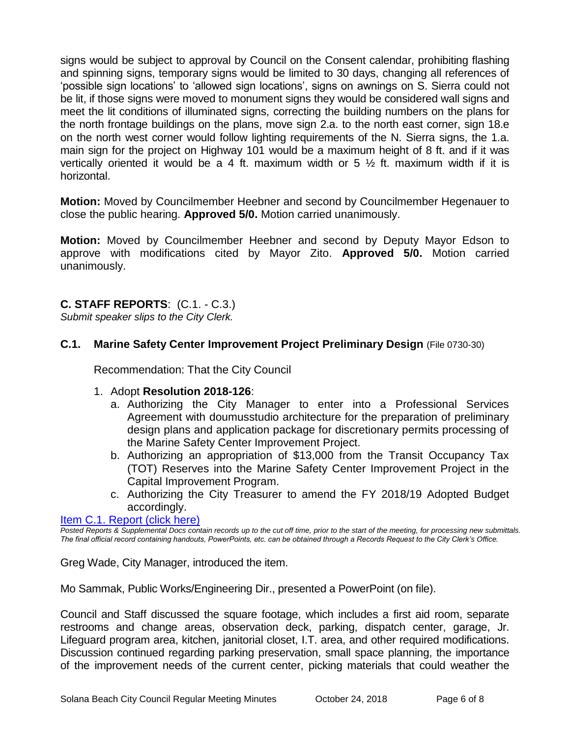signs would be subject to approval by Council on the Consent calendar, prohibiting flashing and spinning signs, temporary signs would be limited to 30 days, changing all references of 'possible sign locations' to 'allowed sign locations', signs on awnings on S. Sierra could not be lit, if those signs were moved to monument signs they would be considered wall signs and meet the lit conditions of illuminated signs, correcting the building numbers on the plans for the north frontage buildings on the plans, move sign 2.a. to the north east corner, sign 18.e on the north west corner would follow lighting requirements of the N. Sierra signs, the 1.a. main sign for the project on Highway 101 would be a maximum height of 8 ft. and if it was vertically oriented it would be a 4 ft. maximum width or 5  $\frac{1}{2}$  ft. maximum width if it is horizontal.

**Motion:** Moved by Councilmember Heebner and second by Councilmember Hegenauer to close the public hearing. **Approved 5/0.** Motion carried unanimously.

**Motion:** Moved by Councilmember Heebner and second by Deputy Mayor Edson to approve with modifications cited by Mayor Zito. **Approved 5/0.** Motion carried unanimously.

# **C. STAFF REPORTS**: (C.1. - C.3.)

*Submit speaker slips to the City Clerk.*

#### **C.1. Marine Safety Center Improvement Project Preliminary Design** (File 0730-30)

Recommendation: That the City Council

- 1. Adopt **Resolution 2018-126**:
	- a. Authorizing the City Manager to enter into a Professional Services Agreement with doumusstudio architecture for the preparation of preliminary design plans and application package for discretionary permits processing of the Marine Safety Center Improvement Project.
	- b. Authorizing an appropriation of \$13,000 from the Transit Occupancy Tax (TOT) Reserves into the Marine Safety Center Improvement Project in the Capital Improvement Program.
	- c. Authorizing the City Treasurer to amend the FY 2018/19 Adopted Budget accordingly.

#### [Item C.1. Report \(click here\)](https://solanabeach.govoffice3.com/vertical/Sites/%7B840804C2-F869-4904-9AE3-720581350CE7%7D/uploads/Item_C.1._Report_(click_here)_-_10-24-18.PDF)

*Posted Reports & Supplemental Docs contain records up to the cut off time, prior to the start of the meeting, for processing new submittals. The final official record containing handouts, PowerPoints, etc. can be obtained through a Records Request to the City Clerk's Office.*

Greg Wade, City Manager, introduced the item.

Mo Sammak, Public Works/Engineering Dir., presented a PowerPoint (on file).

Council and Staff discussed the square footage, which includes a first aid room, separate restrooms and change areas, observation deck, parking, dispatch center, garage, Jr. Lifeguard program area, kitchen, janitorial closet, I.T. area, and other required modifications. Discussion continued regarding parking preservation, small space planning, the importance of the improvement needs of the current center, picking materials that could weather the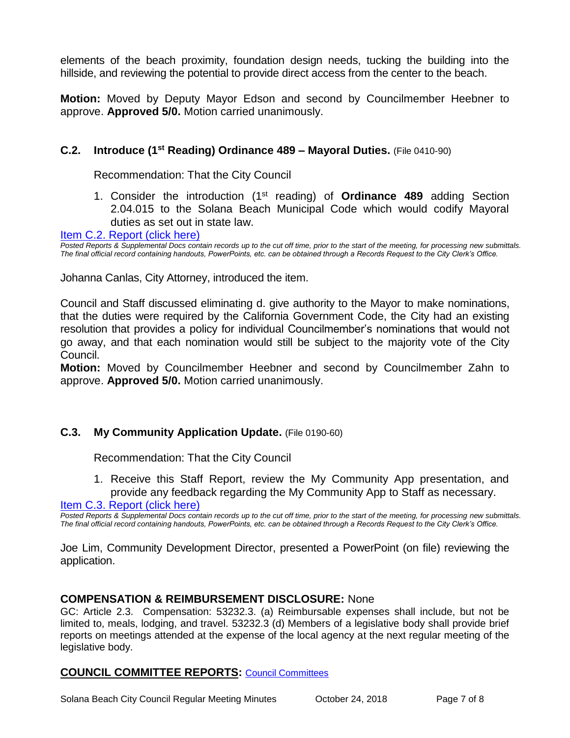elements of the beach proximity, foundation design needs, tucking the building into the hillside, and reviewing the potential to provide direct access from the center to the beach.

**Motion:** Moved by Deputy Mayor Edson and second by Councilmember Heebner to approve. **Approved 5/0.** Motion carried unanimously.

# **C.2. Introduce (1st Reading) Ordinance 489 – Mayoral Duties.** (File 0410-90)

Recommendation: That the City Council

1. Consider the introduction (1st reading) of **Ordinance 489** adding Section 2.04.015 to the Solana Beach Municipal Code which would codify Mayoral duties as set out in state law.

[Item C.2. Report \(click here\)](https://solanabeach.govoffice3.com/vertical/Sites/%7B840804C2-F869-4904-9AE3-720581350CE7%7D/uploads/Item_C.2._Report_(click_here)_-_10-24-18.PDF) 

*Posted Reports & Supplemental Docs contain records up to the cut off time, prior to the start of the meeting, for processing new submittals. The final official record containing handouts, PowerPoints, etc. can be obtained through a Records Request to the City Clerk's Office.*

Johanna Canlas, City Attorney, introduced the item.

Council and Staff discussed eliminating d. give authority to the Mayor to make nominations, that the duties were required by the California Government Code, the City had an existing resolution that provides a policy for individual Councilmember's nominations that would not go away, and that each nomination would still be subject to the majority vote of the City Council.

**Motion:** Moved by Councilmember Heebner and second by Councilmember Zahn to approve. **Approved 5/0.** Motion carried unanimously.

#### **C.3. My Community Application Update.** (File 0190-60)

Recommendation: That the City Council

1. Receive this Staff Report, review the My Community App presentation, and provide any feedback regarding the My Community App to Staff as necessary.

[Item C.3. Report \(click here\)](https://solanabeach.govoffice3.com/vertical/Sites/%7B840804C2-F869-4904-9AE3-720581350CE7%7D/uploads/Item_C.3._Report_(click_here)_-_10-24-18.PDF) 

*Posted Reports & Supplemental Docs contain records up to the cut off time, prior to the start of the meeting, for processing new submittals. The final official record containing handouts, PowerPoints, etc. can be obtained through a Records Request to the City Clerk's Office.*

Joe Lim, Community Development Director, presented a PowerPoint (on file) reviewing the application.

#### **COMPENSATION & REIMBURSEMENT DISCLOSURE:** None

GC: Article 2.3. Compensation: 53232.3. (a) Reimbursable expenses shall include, but not be limited to, meals, lodging, and travel. 53232.3 (d) Members of a legislative body shall provide brief reports on meetings attended at the expense of the local agency at the next regular meeting of the legislative body.

#### **COUNCIL COMMITTEE REPORTS:** [Council Committees](https://www.ci.solana-beach.ca.us/index.asp?SEC=584E1192-3850-46EA-B977-088AC3E81E0D&Type=B_BASIC)